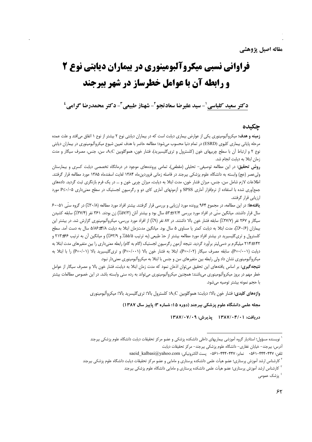# فراوانی نسبی میکروآلبومینوری در بیماران دیابتی نوع 2 **و رابطه آن با عوامل خطرساز در شهر بیرجند**

دكتر سعيد كلباسي ْ - سيد عليرضا سعادتجو ْ - شهناز طبيعي ّ - دكتر محمدرضا گرامي '

## حكىدە

**زمینه و هدف:** میکروآلبومینوری یکی از عوارض بیماری دیابت است که در بیماران دیابتی نوع ۲ بیشتر از نوع ۱ اتفاق میافتد و علت عمده مرحله پایانی بیماری کلیوی (ESRD) در تمام دنیا محسوب میشود؛ مطالعه حاضر با هدف تعیین شیوع میکروآلبومینوری در بیماران دیابتی نوع ۲ و ارتباط آن با سطح چربیهای خون (کلسترول و تریگلیسیرید)، فشار خون، هموگلوبین A1C، سن، جنس، مصرف سیگار و مدت زمان ابتلا به ديابت انجام شد.

**روش تحقیق:** در این مطالعه توصیفی– تحلیلی (مقطعی)، تمامی پروندههای موجود در درمانگاه تخصصی دیابت کسری و بیمارستان ولی عصر (عج) وابسته به دانشگاه علوم پزشکی بیرجند در فاصله زمانی فروردینماه ۱۳۸۴ لغایت اسفندماه ۱۳۸۵ مورد مطالعه قرار گرفتند. اطلاعات لازم شامل سن، جنس، میزان فشار خون، مدت ابتلا به دیابت، میزان چربی خون و … در یک فرم بازنگری ثبت گردید. دادههای جمعآوری شده با استفاده از نرمافزار آماری SPSS و آزمونهای آماری کای دو و رگرسیون لجستیک در سطح معنیداری ۶≤۰/۰۰ مورد ارزیابی قرار گرفتند.

یافتهها: در این مطالعه، در مجموع ۹۶۴ پرونده مورد ارزیابی و بررسی قرار گرفتند. بیشتر افراد مورد مطالعه (۳۰/۸٪) در گروه سنّی ۵۱–۶۰ سال قرار داشتند. میانگین سنّی در افراد مورد بررسی ۵۳±۱۲/۴ سال بود و بیشتر آنان (۵۷/۳٪) زن بودند. ۳۶۱ نفر (۳۷/۴٪) سابقه کشیدن سیگار و ۲۶۷ نفر (۲۷/۷٪) سابقه فشار خون بالا داشتند. در ۸۷ نفر (۹٪) از افراد مورد بررسی، میکروآلبومینوری گزارش شد. در بیشتر این بیماران (۶۰/۶/)، مدت ابتلا به دیابت کمتر یا مساوی ۵ سال بود. میانگین مدتزمان ابتلا به دیابت ۵/۸۶±۵/۸ سال به دست آمد. سطح کلسترول و تریگلیسیرید در بیشتر افراد مورد مطالعه بیشتر از حدّ طبیعی (به ترتیب ۵۵/۵٪ و ۶۳/۹٪) و میانگین آن به ترتیب ۶۶+۲۱۳ و ۱۴۲±۲۱۴ میلیگرم بر دسی[یتر برآورد گردید. نتیجه آزمون رگرسیون لجستیک (گام به گام) رابطه معنیداری را بین متغیرهای مدت ابتلا به دیابت (P=-/۰۰۱)، سابقه مصرف سیگار (P=-/۰۲)، ابتلا به فشار خون بالا (P=-/۰۰۱) و تری&لیسیرید بالا (P=۰/۰۱) را با ابتلا به میکروآلبومینوری نشان داد ولی رابطه بین متغیرهای سن و جنس با ابتلا به میکروآلبومینوری معنیدار نبود.

**نتیجه گیری:** بر اساس یافتههای این تحقیق می¤وان اذعان نمود که مدت زمان ابتلا به دیابت، فشار خون بالا و مصرف سیگار از عوامل خطر مهم در بروز میکروآلبومینوری میباشند؛ همچنین میکروآلبومینوری میتواند به رده سنی وابسته باشد. در این خصوص مطالعات بیشتر با حجم نمونه بيشتر توصيه مي شود.

واژههای کلیدی: فشار خون بالا؛ دیابت؛ هموگلوبین A<sub>1</sub>C؛ کلسترول بالا؛ تری گلیسرید بالا؛ میکروآلبومینوری

مجله علمی دانشگاه علوم پزشکی بپرجند (دوره ۱۵؛ شماره ۳؛ پاییز سال ۱۳۸۷)

دریافت: ۱۳۸۷/۰۴/۰۱ یذیرش: ۱۳۸۷/۰۷/۰۹

<sup>ّ</sup> نویسنده مسؤول؛ استادیار گروه آموزشی بیماریهای داخلی دانشکده پزشکی و عضو مرکز تحقیقات دیابت دانشگاه علوم پزشکی بیرجند آدرس: بیرجند– خیابان غفاری– دانشگاه علوم پزشکی بیرجند– مرکز تحقیقات دیابت

تلفن: ۴۴۷-۴۴۲-۵۶۱- نمایر: ۴۴۴۰-۴۴۲-۶۶۱- ۵۶۱-۴۴۴-۰۵۶۱ پست الکترونیکی: saeid kalbasi@yahoo.com

<sup>&</sup>lt;sup>۲</sup> کارشناس ارشد آموزش پرستاری؛ عضو هیأت علمی دانشکده پرستاری و مامایی و عضو مرکز تحقیقات دیابت دانشگاه علوم پزشکی بیرجند

<sup>&</sup>lt;sup>۳</sup> کارشناس ارشد اَموزش پرستاری؛ عضو هیأت علمی دانشکده پرستاری و مامایی دانشگاه علوم پزشکی بیرجند

<sup>&</sup>lt;sup>ء</sup>ُ پزشک عمومی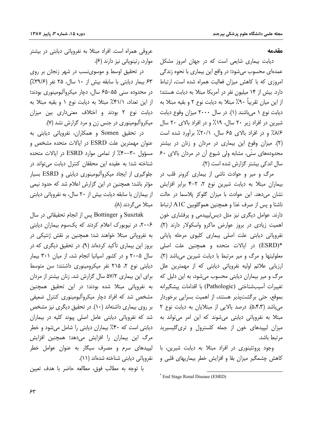#### مقدمه

دیابت بیماری شایعی است که در جهان امروز مشکل عمدهای محسوب می شود؛ در واقع این بیماری با نحوه زندگی امروزی که با کاهش میزان فعالیت همراه شده است، ارتباط دارد. بیش از ۱۴ میلیون نفر در آمریکا مبتلا به دیابت هستند؛ از این میان تقریباً ۹۰٪ مبتلا به دیابت نوع ۲ و بقیه مبتلا به دیابت نوع ۱ می باشند (۱). در سال ۲۰۰۰ میزان وقوع دیابت شیرین در افراد زیر ۲۰ سال، ۱۹٪ و در افراد بالای ۲۰ سال ۸/۶٪ و در افراد بالای ۶۵ سال، ۲۰/۱٪ برآورد شده است (۲). میزان وقوع این بیماری در مردان و زنان در بیشتر محدودههای سنّی، مشابه ولی شیوع آن در مردان بالای ۶۰ سال اندکی بیشتر گزارش شده است (۲).

مرگ و میر و حوادث ناشی از بیماری کرونر قلب در بیماران مبتلا به دیابت شیرین نوع ۲، ۲-۴ برابر افزایش نشان میدهد. این حوادث با میزان گلوکز پلاسما در حالت ناشتا و پس از صرف غذا و همچنین هموگلوبین A1C ارتباط دارند. عوامل دیگری نیز مثل دیس لیپیدمی و پرفشاری خون اهمیت زیادی در بروز عوارض ماکرو واسکولار دارند (۲). نفروپاتی دیابتی علت اصلی بیماری کلیوی مرحله پایانی \*(ESRD) در ایالات متحده و همچنین علت اصلی معلولیتها و مرگ و میر مرتبط با دیابت شیرین می باشد (۲). ارزیابی علائم اولیه نفروپاتی دیابتی که از مهمترین علل مرگ و میر بیماران دیابتی محسوب میشود، به این دلیل که تغييرات أسيبشناختي (Pathologic) با اقدامات پيشگيرانه بموقع، حتی برگشتیذیر هستند، از اهمیت بسزایی برخوردار می باشد (۵٬۴٬۳). درصد بالایی از مبتلایان به دیابت نوع ۲ مبتلا به نفرویاتی دیابتی می شوند که این امر می تواند به میزان لیپیدهای خون از جمله کلسترول و تری گلیسیرید مرتبط باشد.

وجود پروتئینوری در افراد مبتلا به دیابت شیرین، با کاهش چشمگیر میزان بقا و افزایش خطر بیماریهای قلبی و

عروقی همراه است. افراد مبتلا به نفروپاتی دیابتی در بیشتر موارد، رتینوپانی نیز دارند (۶).

در تحقیق اوسط و موسوینسب در شهر زنجان بر روی ۶۳ بیمار دیابتی با سابقه بیش از ۱۰ سال، ۲۵ نفر (۳۹/۶٪) در محدوده سنی ۵۵–۶۵ سال، دچار میکروآلبومینوری بودند؛ از این تعداد، ۴۱/۱٪ مبتلا به دیابت نوع ۱ و بقیه مبتلا به دیابت نوع ۲ بودند و اختلاف معنیداری بین میزان میکروآلبومینوری در جنس زن و مرد گزارش نشد (۷).

در تحقیق Somen و همکاران، نفروپاتی دیابتی به عنوان مهمترین علت ESRD در ایالات متحده مشخص و مسؤول ٣٠-٣٠٪ از تمامى موارد ESRD در ايالات متحده شناخته شد؛ به عقیده این محققان کنترل دیابت میتواند در جلوگیری از ایجاد میکروآلبومینوری دیابتی و ESRD بسیار مؤثر باشد؛ همچنین در این گزارش اعلام شد که حدود نیمی از بیماران با سابقه دیابت بیش از ۲۰ سال، به نفرویاتی دیابتی مبتلا می گردند (۸).

Susztak و Bottinger پس از انجام تحقیقاتی در سال ۲۰۰۶، در نیویورک اعلام کردند که یکسوم بیماران دیابتی به نفرویاتی مبتلا خواهند شد؛ همچنین بر نقش ژنتیکی در بروز این بیماری تأکید کردهاند (۹). در تحقیق دیگری که در سال ۲۰۰۵ و در کشور اسپانیا انجام شد، از میان ۳۰۱ بیمار دیابتی نوع ۲، ۲۱۵ نفر میکرومینوری داشتند؛ سن متوسط برای این بیماری ۵۷/۲ سال گزارش شد. زنان بیشتر از مردان به نفرویاتی مبتلا شده بودند؛ در این تحقیق همچنین مشخص شد که افراد دچار میکروآلبومینوری کنترل ضعیفی بر روی بیماری داشتهاند (۱۰). در تحقیق دیگری نیز مشخص شد که نفروپاتی دیابتی عامل اصلی پیوند کلیه در بیماران دیابتی است که ۴۰٪ بیماران دیابتی را شامل میشود و خطر مرگ این بیماران را افزایش میدهد؛ همچنین افزایش لیپیدهای سرم و مصرف سیگار به عنوان عوامل خطر نفروياتي ديابتي شناخته شدهاند (١١).

با توجه به مطالب فوق، مطالعه حاضر با هدف تعیین

<sup>\*</sup> End Stage Renal Disease (ESRD)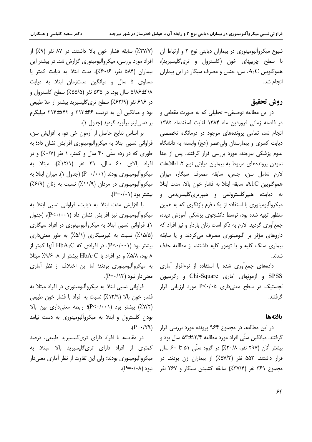شیوع میکروألبومینوری در بیماران دیابتی نوع ۲ و ارتباط أن با سطح چربیهای خون (کلسترول و تری $\partial$ لیسیرید)، هموگلوبین  $\rm A_1C$ ، سن، جنس و مصرف سیگار در این بیماران انجام شد.

## **روش تحقيق**

در این مطالعه توصیفی– تحلیلی که به صورت مقطعی و در فاصله زمانی فروردین ماه ۱۳۸۴ لغایت اسفندماه ۱۳۸۵ انجام شد، تمامی پروندههای موجود در درمانگاه تخصصی دیابت کسری و بیمارستان ولی عصر (عج) وابسته به دانشگاه علوم یزشکی بیرجند، مورد بررسی قرار گرفتند. پس از جدا نمودن پروندههای مربوط به بیماران دیابتی نوع ۲، اطلاعات لازم شامل سن، جنس، سابقه مصرف سیگار، میزان هموگلوبین A1C، سابقه ابتلا به فشار خون بالا، مدت ابتلا به دیابت، هیپرکلسترولمی و هیپرتری<sup>گ</sup>لیسرید*م*ی و میکروآلبومینوری با استفاده از یک فرم بازنگری که به همین منظور تهیه شده بود، توسط دانشجوی پزشکی آموزش دیده، جمع آوری گردید. لازم به ذکر است زنان باردار و نیز افراد که داروهای مؤثر بر آلبومینوری مصرف میکردند و یا سابقه بیماری سنگ کلیه و یا تومور کلیه داشتند، از مطالعه حذف .<br>شدند**.** 

دادههای جمع آوری شده با استفاده از نرمافزار آماری SPSS و آزمونهای آماری Chi-Square و رگرسیون معنیدار نبود (P=۰/۱۳). لجستیک در سطح معنی داری A</∙≥P مورد ارزیابی قرار گر فتند.

## **يافتهها**

در این مطالعه، در مجموع ۹۶۴ پرونده مورد بررسی قرار گرفتند. میانگین سنّی افراد مورد مطالعه ۱۲/۴±۵۳ سال بود و بیشتر آنان (۲۹۷ نفر، ۰/۸۳۰٪) در گروه سنّی ۵۱ تا ۶۰ سال قرار داشتند. ۵۵۲ نفر (۵۷/۳٪) از بیماران زن بودند. در مجموع ۳۶۱ نفر (۳۷/۴٪) سابقه کشیدن سیگار و ۲۶۷ نفر

(٢٧/٧٪) سابقه فشار خون بالا داشتند. در ٨٧ نفر (٩٪) از افراد مورد بررسی، میکروألبومینوری گزارش شد. در بیشتر این بیماران (۵۸۴ نفر، ۶۰/۶٪)، مدت ابتلا به دیابت کمتر یا مساوی ۵ سال و میانگین مدتزمان ابتلا به دیابت ۵/۸۶±۴/۸ سال بود. در ۵۳۵ نفر (۵۵/۵٪) سطح کلسترول و در ۶۱۶ نفر (۶۳/۹٪) سطح تریگلیسیرید بیشتر از حدّ طبیعی بود و ميانگين آن به ترتيب ۶۶±۲۱۳ و ۲۱۴±۲۱۴ ميليگرم بر دسی[بیتر برآورد گردید (جدول ۱).

بر اساس نتايج حاصل از آزمون خي دو، با افزايش سن، فراوانی نسبی ابتلا به میکروألبومینوری افزایش نشان داد؛ به طوری که در رده سنّی ۴۰ سال و کمتر، ۱ نفر (۰/۷٪) و در افراد بالای ۶۰ سال، ۳۱ نفر (۱۲/۱٪)، مبتلا به میکروآلبومینوری بودند (P=۰/۰۰۱) (جدول ۱). میزان ابتلا به میکروآلبومینوری در مردان (۱۱/۹٪) نسبت به زنان (۶/۹٪) .(P= $\cdot$ /۰۱) بیشتر بود.

با افزایش مدت ابتلا به دیابت، فراوانی نسبی ابتلا به میکروآلبومینوری نیز افزایش نشان داد (P<۰/۰۰۱)، (جدول ۱). فراوانی نسبی ابتلا به میکروآلبومینوری در افراد سیگاری (۱۵/۵٪) نسبت به غیرسیگاری (۵/۱٪) به طور معنیداری ایشتر بود (P<۰/۰۰۱). در افرادی که HbA<sub>1</sub>C آنها کمتر از ۸ بود، ۵/۸٪ و در افراد با HbA<sub>1</sub>C بیشتر از ۸*، ۹/۶٪ م*بتلا به میکروآلبومینوری بودند؛ اما این اختلاف از نظر آماری

فراوانی نسبی ابتلا به میکروآلبومینوری در افراد مبتلا به فشار خون بالا (۱۳/۹٪) نسبت به افراد با فشار خون طبیعی  $Y$  ) بیشتر بود ((۲۰۰–(۳): رابطه معنی داری بین بالا) بودن کلسترول و ابتلا به میکروآلبومینوری به دست نیامد  $(P=\cdot/\tau)$ .

در مقایسه با افراد دارای تریگلیسیرید طبیعی، درصد کمتری از افراد دارای تریگلیسیرید بالا مبتلا به میکروآلبومینوری بودند؛ ولی این تفاوت از نظر آماری معنیدار  $\cdot$ نبود (۰۸+ $P=-P$ ). .<br>ن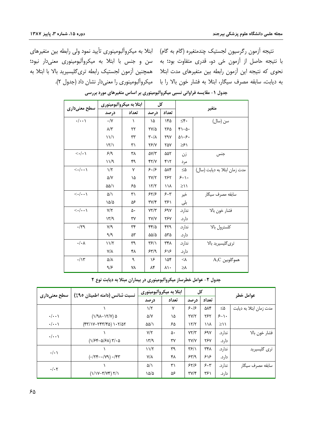نتیجه آزمون رگرسیون لجستیک چندمتغیره (گام به گام) ابتلا به میکروآلبومینوری تأیید نمود ولی رابطه بین متغیرهای با نتیجه حاصل از آزمون خی دو، قدری متفاوت بود؛ به سن و جنس با ابتلا به میکروآلبومینوری معنیدار نبود؛ نحوی که نتیجه این آزمون رابطه بین متغیرهای مدت ابتلا مهمچنین آزمون لجستیک رابطه تریگلیسیرید بالا با ابتلا به

به دیابت، سابقه مصرف سیگار، ابتلا به فشار خون بالا را با میکروآلبومینوری را معنیدار نشان داد (جدول ۲).

| سطح معنیداری                          | ابتلا به میکروألبومینوری |           | کل                          |       | متغير                  |                               |  |
|---------------------------------------|--------------------------|-----------|-----------------------------|-------|------------------------|-------------------------------|--|
|                                       | درصد                     | تعداد     | درصد                        | تعداد |                        |                               |  |
| $\cdot/\cdot\cdot$                    | $\cdot/\Upsilon$         | $\lambda$ | ١۵                          | ۱۴۵   | $\leq \mathfrak{f}$ .  | سن (سال)                      |  |
|                                       | $\lambda/\tau$           | ۲۲        | $\frac{Y}{4}$               | ۲۶۵   | $f - \Delta$ .         |                               |  |
|                                       | $\frac{1}{2}$            | ٣٣        | $\mathsf{r}\cdot\mathsf{v}$ | ٢٩٧   | $\Delta$ $\rightarrow$ |                               |  |
|                                       | $\frac{1}{\sqrt{2}}$     | ۳۱        | <b>78/7</b>                 | ۲۵۷   | ≥۶۱                    |                               |  |
| $\langle \cdot   \cdot \rangle$       | 5/9                      | ۳٨        | $\Delta V/Y$                | ۵۵۲   | زن                     | جنس                           |  |
|                                       | ۱۱/۹                     | ۴۹        | YY/Y                        | ۴۱۲   | مر د                   |                               |  |
| $\langle \cdot   \cdot \cdot \rangle$ | $1/\zeta$                | ٧         | 5.19                        | ۵۸۴   | $\leq$ $\Delta$        | مدت زمان ابتلا به ديابت (سال) |  |
|                                       | $\Delta/Y$               | ۱۵        | YY/Y                        | ۲۶۲   | $5 - 1$                |                               |  |
|                                       | ۵۵/۱                     | ۶۵        | $\frac{1}{\sqrt{2}}$        | ۱۱۸   | $\geq$                 |                               |  |
| $\langle \cdot   \cdot \cdot \rangle$ | ۵/۱                      | ٣١        | 55/5                        | 5.5   | خير                    | سابقه مصرف سيگار              |  |
|                                       | ۱۵/۵                     | ۵۶        | $\Upsilon V/\Upsilon$       | ۳۶۱   | بلى                    |                               |  |
| $\langle \cdot   \cdot \cdot \rangle$ | $Y/\tau$                 | ۵۰        | YY/Y                        | 590   | ندارد.                 | فشار خون بالا                 |  |
|                                       | $\gamma$                 | ٣٧        | <b>TY/Y</b>                 | ٢۶٧   | دارد.                  |                               |  |
| $\cdot/\uparrow$ 9                    | $Y$ /٩                   | ٣۴        | ۴۴/۵                        | ۴۲۹   | ندارد.                 | كلسترول بالا                  |  |
|                                       | 9/9                      | ۵۳        | $\Delta\Delta/\Delta$       | ۵۳۵   | دار د.                 |                               |  |
| $\cdot/\cdot \wedge$                  | 11/7                     | ٣٩        | $\frac{1}{2}$               | ۳۴۸   | ندارد.                 | تری گلیسیرید بالا             |  |
|                                       | $V/\lambda$              | ۴۸        | 54/9                        | ۶۱۶   | دارد.                  |                               |  |
| $\cdot/\gamma$                        | $\Delta/\lambda$         | ٩         | ۱۶                          | ۱۵۴   | $\prec$ V              | $A_1C$ هموگلوبين              |  |
|                                       | 9/5                      | ۷٨        | ۸۴                          | ۸۱۰   | ≥λ                     |                               |  |

جدول ۱- مقایسه فراوانی نسبی میکروآلبومینوری بر اساس متغیرهای مورد بررسی

جدول ٢- عوامل خطرساز ميكروآلبومينوري در بيماران مبتلا به ديابت نوع ٢

| سطح معنیداری       | نسبت شانس (دامنه اطمینان ۹۵٪)                                                                                                                                 | ابتلا به میکروألبومینوری |              | کل                       |       | عوامل خطر       |                         |
|--------------------|---------------------------------------------------------------------------------------------------------------------------------------------------------------|--------------------------|--------------|--------------------------|-------|-----------------|-------------------------|
|                    |                                                                                                                                                               | در صد                    | تعداد        | در صد                    | تعداد |                 |                         |
|                    |                                                                                                                                                               | $1/\tau$                 | $\mathsf{v}$ | 5.19                     | ۵۸۴   | $\leq$ $\Delta$ | مدت زمان ابتلا به دیابت |
| $\cdot/\cdot\cdot$ | $(1/9\lambda-17/V)$ $\Delta$                                                                                                                                  | ۵/۷                      | ١۵           | YY/Y                     | ٢۶٢   | $5 - 1$         |                         |
| $\cdot/\cdot\cdot$ | $(\mathfrak{r}\mathfrak{r}/\mathfrak{r}-\mathfrak{r}\mathfrak{r}\mathfrak{r}/\mathfrak{r}\mathfrak{a})\mathfrak{r}\cdot\mathfrak{r}/\mathfrak{a}\mathfrak{r}$ | $\Delta\Delta/\Lambda$   | ۶۵           | 15/7                     | ۱۱۸   | $\geq$ 1        |                         |
| $\cdot/\cdot\cdot$ |                                                                                                                                                               | $Y/\Upsilon$             | ۵۰           | YY/Y                     | 59Y   | ندار د.         | فشار خون بالا           |
|                    | $(1/54-\Delta/51)$ $7/6$                                                                                                                                      | $\gamma$                 | ٣٧           | <b>TY/Y</b>              | ٢۶٧   | دار د.          |                         |
| $\cdot/\cdot$      |                                                                                                                                                               | 11/7                     | ٣٩           | $\frac{1}{2}$            | ۳۴۸   | ندار د.         | ترى گليسيريد            |
|                    | $(\cdot/\tau$ ۴ - $(\gamma\gamma)$ $\cdot/\tau$ ۳                                                                                                             | Y/A                      | ۴۸           | 54/9                     | ۶۱۶   | دارد.           |                         |
| $\cdot/\cdot7$     |                                                                                                                                                               | $\Delta/\lambda$         | ۳۱           | 55/5                     | 5.5   | ندار د.         | سابقه مصرف سيگار        |
|                    | $(1/1V - Y/Vf) Y/1$                                                                                                                                           | ۱۵/۵                     | ۵۶           | $\mathbf{y}(\mathbf{y})$ | ۳۶۱   | دارد.           |                         |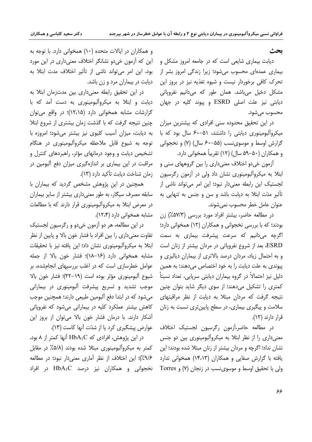## **بحث**

دیابت بیماری شایعی است که در جامعه امروز مشکل و بیماری عمدہای محسوب مے شود؛ زیرا زندگی امروز بشر از تحرک کافی برخوردار نیست و شیوه تغذیه نیز در بروز این مشکل دخیل میباشد. همان طور که میدانیم نفروپاتی دیابتی نیز علت اصلی ESRD و پیوند کلیه در جهان محسوب می شود.

در این تحقیق محدوده سنی افرادی که بیشترین میزان میکروآلبومینوری دیابتی را داشتند، ۵۱–۶۰ سال بود که با گزارش اوسط و موسوینسب (۵۵–۶۰ سال) (۷) و نخجوانی و همکاران (۵۰–۵۹ سال) (۱۲) تقریباً همخوانی دارد.

آزمون خی دو اختلاف معنی داری را بین گروههای سنی و ابتلا به میکروآلبومینوری نشان داد ولی در آزمون رگرسیون لجستیک این رابطه معنیدار نبود؛ این امر میتواند ناشی از تأثیر مدّت ابتلا به دیابت باشد و سن و جنس به تنهایی به عنوان عامل خطر محسوب نمي شوند.

در مطالعه حاضر، بیشتر افراد مورد بررسی (۵۷/۳٪) زن بودند؛ که با بررسی نخجوانی و همکاران (١٢) همخوانی دارد؛ اگرچه می،دانیم که سرعت پیشرفت بیمار*ی* به سم*ت* ESRD، بعد از شروع نفرویاتی در مردان بیشتر از زنان است و به احتمال زیاد، مردان درصد بالاتری از بیماران دیالیزی و پیوندی به علت دیابت را به خود اختصاص میدهند؛ به همین دلیل نیز احتمالاً در گروه بیماران دیابتی سرپایی، تعداد نسبتاً کمتری را تشکیل میدهند؛ از سوی دیگر شاید بتوان چنین نتیجه گرفت که مردان مبتلا به دیابت از نظر مراقبتهای سلامت و پیگیری بیماری، در سطح پایینتری نسبت به زنان قرار دارند (١٢).

در مطالعه حاضر،آزمون رگرسیون لجستیک اختلاف معنیداری را از نظر ابتلا به میکروآلبومینوری بین دو جنس نشان نداد؛ اگرچه و مردان بیشتر از زنان مبتلا شده بودند؛ این یافته با گزارش صفایی و همکاران (۱۴،۱۳) همخوانی تدارد Torres 9 (Y) ولی با تحقیق اوسط و موسوی نسب در زنجان (Y) و

و همکاران در ایالات متحده (۱۰) همخوانی دارد. با توجه به این که آزمون خیدو نشانگر اختلاف معنیداری در این مورد بود، این امر میتواند ناشی از تأثیر اختلاف مدت ابتلا به دیابت در بیماران مرد و زن باشد.

در این تحقیق رابطه معنیداری بین مدتزمان ابتلا به دیابت و ابتلا به میکروآلبومینوری به دست آمد که با گزارشات مشابه همخوانی دارد (۱۲،۱۵)؛ در واقع می توان چنین نتیجه گرفت که با گذشت زمان بیشتری از شروع ابتلا به دیابت، میزان آسیب کلیوی نیز بیشتر میشود؛ امروزه با توجه به شیوع قابل ملاحظه میکروألبومینوری در هنگام تشخیص دیابت و وجود درمانهای مؤثر، راهبردهای کنترل و مراقبت در این بیماری بر اندازهگیری میزان دفع آلبومین در زمان شناخت ديابت تأكيد دارد (١٣).

همچنین در این پژوهش مشخص گردید که بیماران با سابقه مصرف سیگار، به طور معنیداری بیشتر از سایر بیماران در معرض ابتلا به میکروألبومینوری قرار دارند که با مطالعات مشابه همخوانی دارد (۱۲،۴).

در این مطالعه، هر دو آزمون خیدو و رگرسیون لجستیک تفاوت معنیٍ داری را بین افراد با فشار خون بالا و پایین از نظر ابتلا به میکروآلبومینوری نشان داد؛ این یافته نیز با تحقیقات مشابه همخوانی دارد (۱۶–۱۸)؛ فشار خون بالا از جمله عوامل خطرسازی است که در اغلب بررسیهای انجامشده، بر شیوع آلبومینوری مؤثر بوده است (۱۹–۲۲)؛ فشار خون بالا موجب تشدید و تسریع پیشرفت ألبومینوری در بیمارانی میشود که در ابتدا دفع آلبومین طبیعی دارند؛ همچنین موجب کاهش بیشتر عملکرد کلیه در بیمارانی می شود که نفرویاتی آشکار دارند. با درمان فشار خون بالا میتوان از بروز این عوارض پیشگیری کرد یا از شدّت آنها کاست (١٣).

 $\lambda$  در این پژوهش، افرادی که  $HbA_1C$  آنها کمتر از ۸ بود، کمتر به میکروآلبومینوری مبتلا شده بودند (۵/۸٪ در مقابل ۹/۶٪)؛ این اختلاف از نظر آماری معنیدار نبود؛ در مطالعه  $\mathbf{H}$ نخجوانی و همکاران نیز درصد  $\mathbf{H} \mathbf{b} \mathbf{A}_1 \mathbf{C}$  در افراد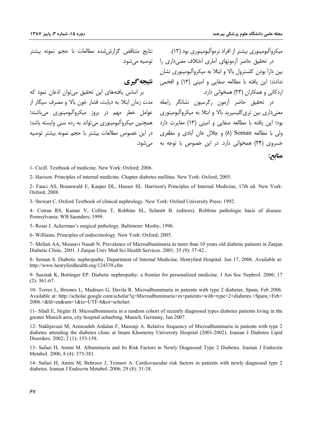نتايج متناقض گزارششده مطالعات با حجم نمونه بيشتر

بر اساس یافتههای این تحقیق می توان اذعان نمود که در تحقیق حاضر آزمون رگرسیون نشانگر رابطه مدت زمان ابتلا به دیابت، فشار خون بالا و مصرف سیگار از معنی داری بین تری گلیسپرید بالا و ابتلا به میکروآلبومینوری \_ عوامل \_خطر \_ مهم \_ در \_بروز \_ میکروآلبومینوری \_ می باشند؛ بود؛ این یافته با مطالعه صفایی و امینی (١٣) مغایرت دارد همچنین میکروآلبومینوری می تواند به رده سنی وابسته باشد؛ ولی با مطالعه Soman (۸) و جلال خان آبادی و مظفری در این خصوص مطالعات بیشتر با حجم نمونه بیشتر توصیه

میکروآلبومینوری بیشتر از افراد نرموآلبومینوری بود (۱۲). در تحقیق حاضر آزمونهای آماری اختلاف معنیداری را توصیه میشود. <sub>..ی</sub>ں <sub>-ارا</sub> بو-ں نستروں بالا و ابتلا به میکروالبومینوری نشان<br>ندادند؛ این یافته با مطالعه صفایی و امینی (۱۳) و افخمی **نتیجه گیری**<br>امریک اردکانی و همکاران (۲۳) همخوانی دارد.

خسروی (۲۴) همخوانی دارد. در این خصوص با توجه به می شود.

منابح:

1- Cicill. Textbook of medicine. New York: Oxford: 2006.

2- Harison. Principles of internal medicine. Chapter diabetes mellitus. New York: Oxford: 2005.

2- Fauci AS, Braunwald E, Kasper DL, Hauser SL. Harrison's Principles of Internal Medicine, 17th ed. New York: Oxford; 2008.

3- Stewart C. Oxford Textbook of clinical nephrology. New York: Oxford University Press: 1992.

4- Cotran RS, Kumar V, Collins T, Robbins SL, Schmitt B. (editors). Robbins pathologic basis of disease. Pennsylvania: WB Saunders; 1999.

5- Rosai J. Ackerman's surgical pathology. Baltimore: Mosby; 1996.

6- Williams. Principles of endocrinology. New York: Oxford; 2005.

7- Mellati AA, Mousavi Nasab N. Prevalence of Microalbuminuria in more than 10 years old diabetic patients in Zanjan Diabetic Clinic. 2001. J Zanian Univ Med Sci Health Services. 2001: 35 (9): 37-42.

8- Soman S. Diabetic nephropathy. Department of Internal Medicine, Henryfard Hospital. Jun 17, 2006. Available at: http://www.henryfordhealth.org/124339.cfm

9- Susztak K, Bottinger EP. Diabetic nephropathy: a frontier for personalized medicine. J Am Soc Nephrol. 2006; 17  $(2): 361-67.$ 

10- Torres L, Briones L, Madrazo G, Davila R. Microalbuminuria in patients with type 2 diabetes. Spain, Feb 2006. Available at: http://scholar.google.com/scholar?q=Microalbuminuria+in+patients+with+type+2+diabetes.+Spain,+Feb+ 2006.+&hl=en&um=1&ie=UTF-8&oi=scholart

11- Sfadl E, Stigler H. Microalbominoria in a random cohort of recently diagnosed types diabetes patients living in the greater Munich area, city hospital schaebing. Munich, Germany, Jun 2007.

12- Nakhjavani M, Azmoudeh Ardalan F, Mazouji A. Relative frequency of Microalbuminuria in patients with type 2 diabetes attending the diabetes clinic at Imam Khomeiny University Hospital (2001-2002). Iranian J Diabetes Lipid Disorders. 2002: 2 (1): 153-158.

13- Safaei H, Amini M. Albuminuria and Its Risk Factors in Newly Diagnosed Type 2 Diabetes. Iranian J Endocrin Metabol. 2006; 8 (4): 375-381.

14- Safaei H, Amini M, Behrooz J, Teimori A. Cardiovascular risk factors in patients with newly diagnosed type 2 diabetes. Iranian J Endocrin Metabol. 2006; 29 (8): 31-38.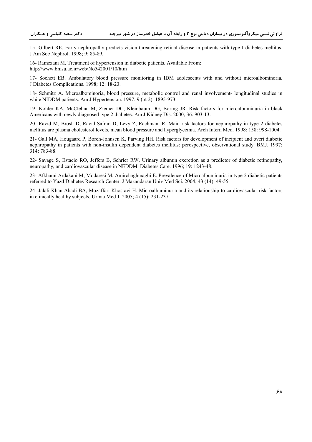15- Gilbert RE. Early nephropathy predicts vision-threatening retinal disease in patients with type I diabetes mellitus. J Am Soc Nephrol. 1998; 9: 85-89.

16- Ramezani M. Treatment of hypertension in diabetic patients. Available From: http://www.bmsu.ac.ir/web/No542001/10/htm

17- Sochett EB. Ambulatory blood pressure monitoring in IDM adolescents with and without microalbominoria. J Diabetes Complications. 1998; 12: 18-23.

18- Schmitz A. Microalbominoria, blood pressure, metabolic control and renal involvement- longitudinal studies in white NIDDM patients. Am J Hypertension. 1997; 9 (pt 2): 1895-973.

19- Kohler KA, McClellan M, Ziemer DC, Kleinbaum DG, Boring JR. Risk factors for microalbuminuria in black Americans with newly diagnosed type 2 diabetes. Am J Kidney Dis. 2000; 36: 903-13.

20- Ravid M, Brosh D, Ravid-Safran D, Levy Z, Rachmani R. Main risk factors for nephropathy in type 2 diabetes mellitus are plasma cholesterol levels, mean blood pressure and hyperglycemia. Arch Intern Med. 1998; 158: 998-1004.

21- Gall MA, Hougaard P, Borch-Johnsen K, Parving HH. Risk factors for development of incipient and overt diabetic nephropathy in patients with non-insulin dependent diabetes mellitus: perospective, observational study. BMJ. 1997; 314: 783-88.

22- Savage S, Estacio RO, Jeffers B, Schrier RW. Urinary albumin excretion as a predictor of diabetic retinopathy, neuropathy, and cardiovascular disease in NEDDM. Diabetes Care. 1996; 19: 1243-48.

23- Afkhami Ardakani M, Modaresi M, Amirchaghmaghi E. Prevalence of Microalbuminuria in type 2 diabetic patients referred to Yazd Diabetes Research Center. J Mazandaran Univ Med Sci. 2004; 43 (14): 49-55.

24- Jalali Khan Abadi BA, Mozaffari Khosravi H. Microalbuminuria and its relationship to cardiovascular risk factors in clinically healthy subjects. Urmia Med J. 2005; 4 (15): 231-237.